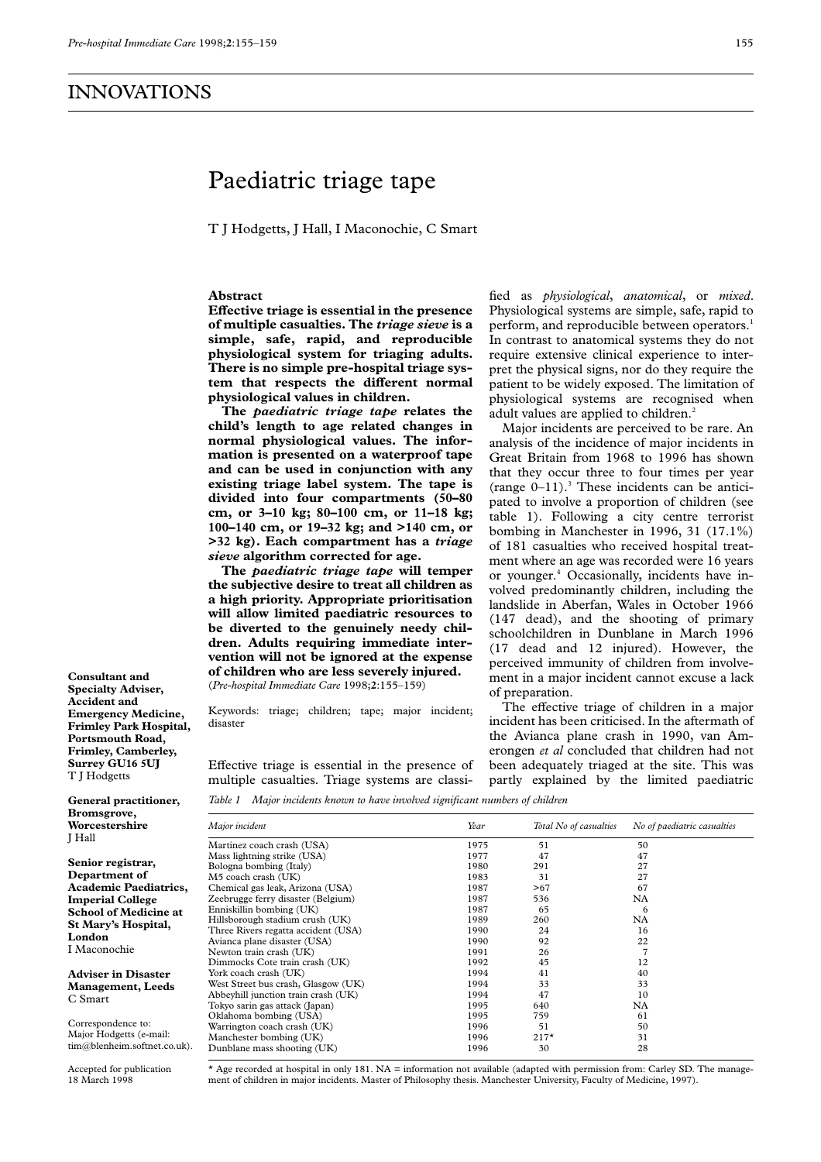# Paediatric triage tape

T J Hodgetts, J Hall, I Maconochie, C Smart

## **Abstract**

Effective triage is essential in the presence **of multiple casualties. The** *triage sieve* **is a simple, safe, rapid, and reproducible physiological system for triaging adults. There is no simple pre-hospital triage sys**tem that respects the different normal **physiological values in children.**

**The** *paediatric triage tape* **relates the child's length to age related changes in normal physiological values. The information is presented on a waterproof tape and can be used in conjunction with any existing triage label system. The tape is divided into four compartments (50–80 cm, or 3–10 kg; 80–100 cm, or 11–18 kg; 100–140 cm, or 19–32 kg; and >140 cm, or >32 kg). Each compartment has a** *triage sieve* **algorithm corrected for age.**

**The** *paediatric triage tape* **will temper the subjective desire to treat all children as a high priority. Appropriate prioritisation will allow limited paediatric resources to be diverted to the genuinely needy children. Adults requiring immediate intervention will not be ignored at the expense of children who are less severely injured.** (*Pre-hospital Immediate Care* 1998;**2**:155–159)

Keywords: triage; children; tape; major incident; disaster

Effective triage is essential in the presence of multiple casualties. Triage systems are classi-

fied as *physiological*, *anatomical*, or *mixed*. Physiological systems are simple, safe, rapid to perform, and reproducible between operators.<sup>1</sup> In contrast to anatomical systems they do not require extensive clinical experience to interpret the physical signs, nor do they require the patient to be widely exposed. The limitation of physiological systems are recognised when adult values are applied to children.<sup>2</sup>

Major incidents are perceived to be rare. An analysis of the incidence of major incidents in Great Britain from 1968 to 1996 has shown that they occur three to four times per year (range  $0-11$ ).<sup>3</sup> These incidents can be anticipated to involve a proportion of children (see table 1). Following a city centre terrorist bombing in Manchester in 1996, 31 (17.1%) of 181 casualties who received hospital treatment where an age was recorded were 16 years or younger.4 Occasionally, incidents have involved predominantly children, including the landslide in Aberfan, Wales in October 1966 (147 dead), and the shooting of primary schoolchildren in Dunblane in March 1996 (17 dead and 12 injured). However, the perceived immunity of children from involvement in a major incident cannot excuse a lack of preparation.

The effective triage of children in a major incident has been criticised. In the aftermath of the Avianca plane crash in 1990, van Amerongen *et al* concluded that children had not been adequately triaged at the site. This was partly explained by the limited paediatric

**Specialty Adviser, Accident and Emergency Medicine, Frimley Park Hospital, Portsmouth Road, Frimley, Camberley, Surrey GU16 5UJ** T J Hodgetts

**Consultant and**

**General practitioner, Bromsgrove, Worcestershire** J Hall

**Senior registrar, Department of Academic Paediatrics, Imperial College School of Medicine at St Mary's Hospital, London** I Maconochie

**Adviser in Disaster Management, Leeds** C Smart

Correspondence to: Major Hodgetts (e-mail: tim@blenheim.softnet.co.uk).

Accepted for publication 18 March 1998

*Table 1 Major incidents known to have involved significant numbers of children*

| Major incident                      | Year | Total No of casualties | No of paediatric casualties |
|-------------------------------------|------|------------------------|-----------------------------|
| Martinez coach crash (USA)          | 1975 | 51                     | 50                          |
| Mass lightning strike (USA)         | 1977 | 47                     | 47                          |
| Bologna bombing (Italy)             | 1980 | 291                    | 27                          |
| M5 coach crash (UK)                 | 1983 | 31                     | 27                          |
| Chemical gas leak, Arizona (USA)    | 1987 | >67                    | 67                          |
| Zeebrugge ferry disaster (Belgium)  | 1987 | 536                    | NA                          |
| Enniskillin bombing (UK)            | 1987 | 65                     | 6                           |
| Hillsborough stadium crush (UK)     | 1989 | 260                    | <b>NA</b>                   |
| Three Rivers regatta accident (USA) | 1990 | 24                     | 16                          |
| Avianca plane disaster (USA)        | 1990 | 92                     | 22                          |
| Newton train crash (UK)             | 1991 | 26                     | $\overline{7}$              |
| Dimmocks Cote train crash (UK)      | 1992 | 45                     | 12                          |
| York coach crash (UK)               | 1994 | 41                     | 40                          |
| West Street bus crash, Glasgow (UK) | 1994 | 33                     | 33                          |
| Abbeyhill junction train crash (UK) | 1994 | 47                     | 10                          |
| Tokyo sarin gas attack (Japan)      | 1995 | 640                    | NA                          |
| Oklahoma bombing (USA)              | 1995 | 759                    | 61                          |
| Warrington coach crash (UK)         | 1996 | 51                     | 50                          |
| Manchester bombing (UK)             | 1996 | $217*$                 | 31                          |
| Dunblane mass shooting (UK)         | 1996 | 30                     | 28                          |

\* Age recorded at hospital in only 181. NA = information not available (adapted with permission from: Carley SD. The management of children in major incidents. Master of Philosophy thesis. Manchester University, Faculty of Medicine, 1997).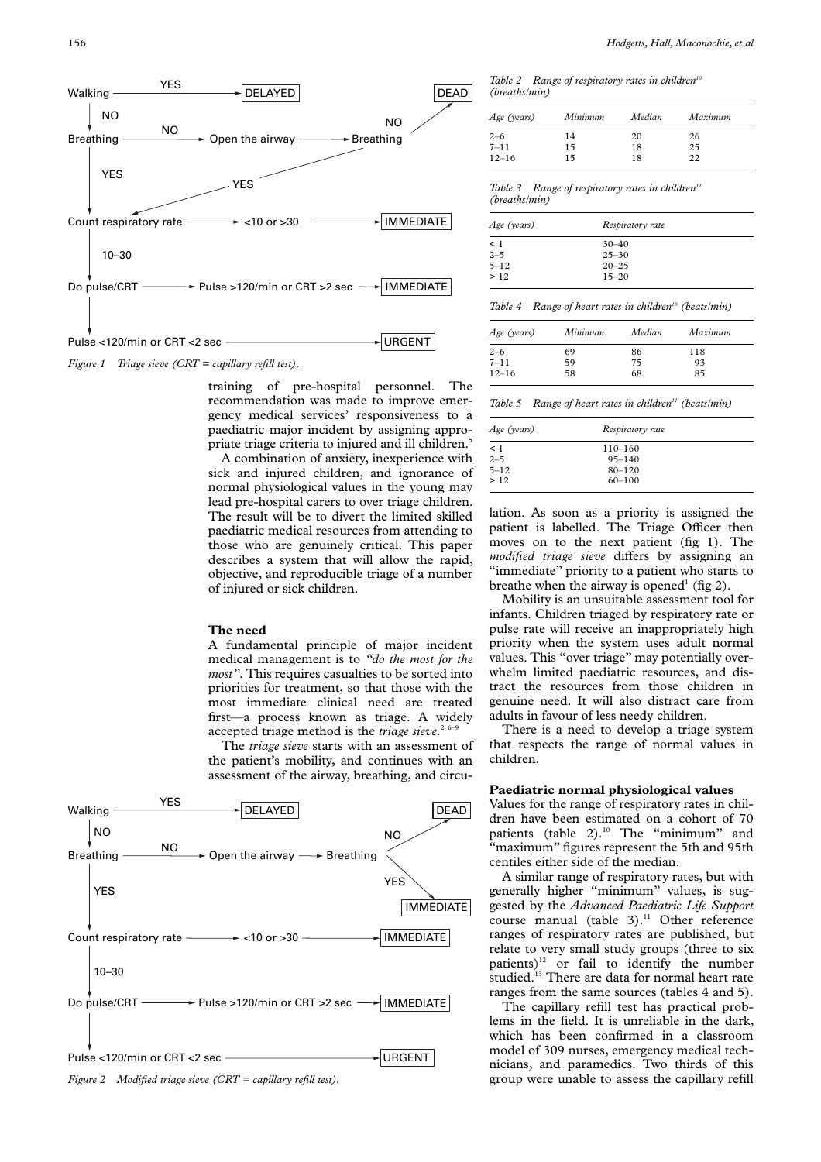

*Figure 1 Triage sieve (CRT = capillary refill test).*

training of pre-hospital personnel. The recommendation was made to improve emergency medical services' responsiveness to a paediatric major incident by assigning appropriate triage criteria to injured and ill children.<sup>5</sup>

A combination of anxiety, inexperience with sick and injured children, and ignorance of normal physiological values in the young may lead pre-hospital carers to over triage children. The result will be to divert the limited skilled paediatric medical resources from attending to those who are genuinely critical. This paper describes a system that will allow the rapid, objective, and reproducible triage of a number of injured or sick children.

### **The need**

A fundamental principle of major incident medical management is to *"do the most for the most"*. This requires casualties to be sorted into priorities for treatment, so that those with the most immediate clinical need are treated first—a process known as triage. A widely accepted triage method is the *triage sieve*.<sup>26-9</sup>

The *triage sieve* starts with an assessment of the patient's mobility, and continues with an assessment of the airway, breathing, and circu-





Table 2 Range of respiratory rates in children<sup>10</sup> *(breaths/min)*

| Age (years) | Minimum | Median | Maximum |
|-------------|---------|--------|---------|
| $2 - 6$     | 14      | 20     | 26      |
| $7 - 11$    | 15      | 18     | 25      |
| $12 - 16$   | 15      | 18     | 22      |

Table 3 Range of respiratory rates in children<sup>11</sup> *(breaths/min)*

| Age (years) | Respiratory rate |  |
|-------------|------------------|--|
| $\leq$ 1    | $30 - 40$        |  |
| $2 - 5$     | $25 - 30$        |  |
| $5 - 12$    | $20 - 25$        |  |
| >12         | $15 - 20$        |  |
|             |                  |  |

| Age (years) | Minimum | Median | Maximum |
|-------------|---------|--------|---------|
| $2 - 6$     | 69      | 86     | 118     |
| $7 - 11$    | 59      | 75     | 93      |
| $12 - 16$   | 58      | 68     | 85      |

*Table 5 Range of heart rates in children11 (beats/min)*

| Age (years) | Respiratory rate |  |
|-------------|------------------|--|
| $\leq$ 1    | $110 - 160$      |  |
| $2 - 5$     | $95 - 140$       |  |
| $5 - 12$    | $80 - 120$       |  |
| >12         | $60 - 100$       |  |
|             |                  |  |

lation. As soon as a priority is assigned the patient is labelled. The Triage Officer then moves on to the next patient (fig 1). The *modified triage sieve* differs by assigning an "immediate" priority to a patient who starts to breathe when the airway is opened<sup>1</sup> (fig 2).

Mobility is an unsuitable assessment tool for infants. Children triaged by respiratory rate or pulse rate will receive an inappropriately high priority when the system uses adult normal values. This "over triage" may potentially overwhelm limited paediatric resources, and distract the resources from those children in genuine need. It will also distract care from adults in favour of less needy children.

There is a need to develop a triage system that respects the range of normal values in children.

#### **Paediatric normal physiological values**

Values for the range of respiratory rates in children have been estimated on a cohort of 70 patients (table  $2$ ).<sup>10</sup> The "minimum" and "maximum" figures represent the 5th and 95th centiles either side of the median.

A similar range of respiratory rates, but with generally higher "minimum" values, is suggested by the *Advanced Paediatric Life Support* course manual (table 3).<sup>11</sup> Other reference ranges of respiratory rates are published, but relate to very small study groups (three to six patients) $12$  or fail to identify the number studied.<sup>13</sup> There are data for normal heart rate ranges from the same sources (tables 4 and 5).

The capillary refill test has practical problems in the field. It is unreliable in the dark, which has been confirmed in a classroom model of 309 nurses, emergency medical technicians, and paramedics. Two thirds of this group were unable to assess the capillary refill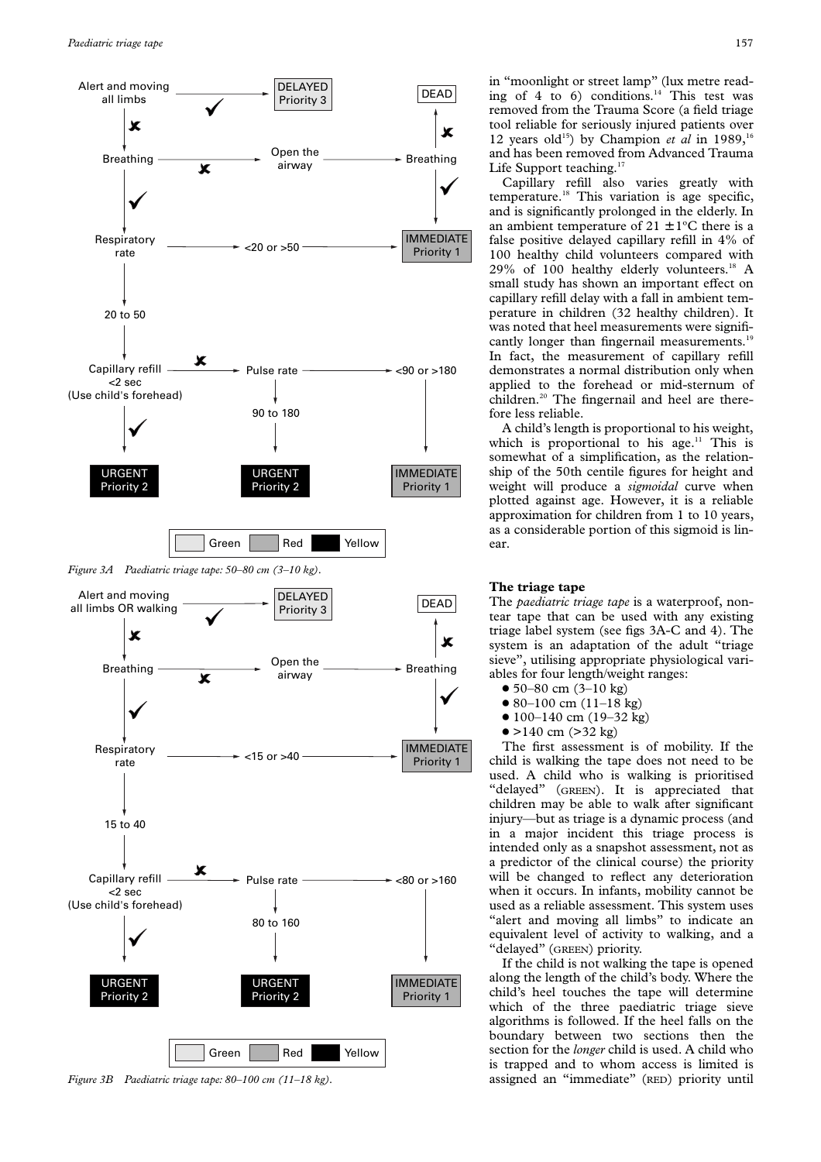

*Figure 3B Paediatric triage tape: 80–100 cm (11–18 kg).*

in "moonlight or street lamp" (lux metre reading of 4 to 6) conditions. $14$  This test was removed from the Trauma Score (a field triage tool reliable for seriously injured patients over 12 years old<sup>15</sup>) by Champion *et al* in 1989,<sup>1</sup> and has been removed from Advanced Trauma Life Support teaching.<sup>17</sup>

Capillary refill also varies greatly with temperature.<sup>18</sup> This variation is age specific, and is significantly prolonged in the elderly. In an ambient temperature of  $21 \pm 1$ °C there is a false positive delayed capillary refill in 4% of 100 healthy child volunteers compared with 29% of 100 healthy elderly volunteers.<sup>18</sup> A small study has shown an important effect on capillary refill delay with a fall in ambient temperature in children (32 healthy children). It was noted that heel measurements were significantly longer than fingernail measurements.<sup>19</sup> In fact, the measurement of capillary refill demonstrates a normal distribution only when applied to the forehead or mid-sternum of children.<sup>20</sup> The fingernail and heel are therefore less reliable.

A child's length is proportional to his weight, which is proportional to his age.<sup>11</sup> This is somewhat of a simplification, as the relationship of the 50th centile figures for height and weight will produce a *sigmoidal* curve when plotted against age. However, it is a reliable approximation for children from 1 to 10 years, as a considerable portion of this sigmoid is linear.

## **The triage tape**

The *paediatric triage tape* is a waterproof, nontear tape that can be used with any existing triage label system (see figs 3A-C and 4). The system is an adaptation of the adult "triage sieve", utilising appropriate physiological variables for four length/weight ranges:

- $\bullet$  50–80 cm (3–10 kg)
- $\bullet$  80–100 cm (11–18 kg)
- $\bullet$  100–140 cm (19–32 kg)
- $\bullet$  >140 cm (>32 kg)

The first assessment is of mobility. If the child is walking the tape does not need to be used. A child who is walking is prioritised "delayed" (GREEN). It is appreciated that children may be able to walk after significant injury—but as triage is a dynamic process (and in a major incident this triage process is intended only as a snapshot assessment, not as a predictor of the clinical course) the priority will be changed to reflect any deterioration when it occurs. In infants, mobility cannot be used as a reliable assessment. This system uses "alert and moving all limbs" to indicate an equivalent level of activity to walking, and a "delayed" (GREEN) priority.

If the child is not walking the tape is opened along the length of the child's body. Where the child's heel touches the tape will determine which of the three paediatric triage sieve algorithms is followed. If the heel falls on the boundary between two sections then the section for the *longer* child is used. A child who is trapped and to whom access is limited is assigned an "immediate" (RED) priority until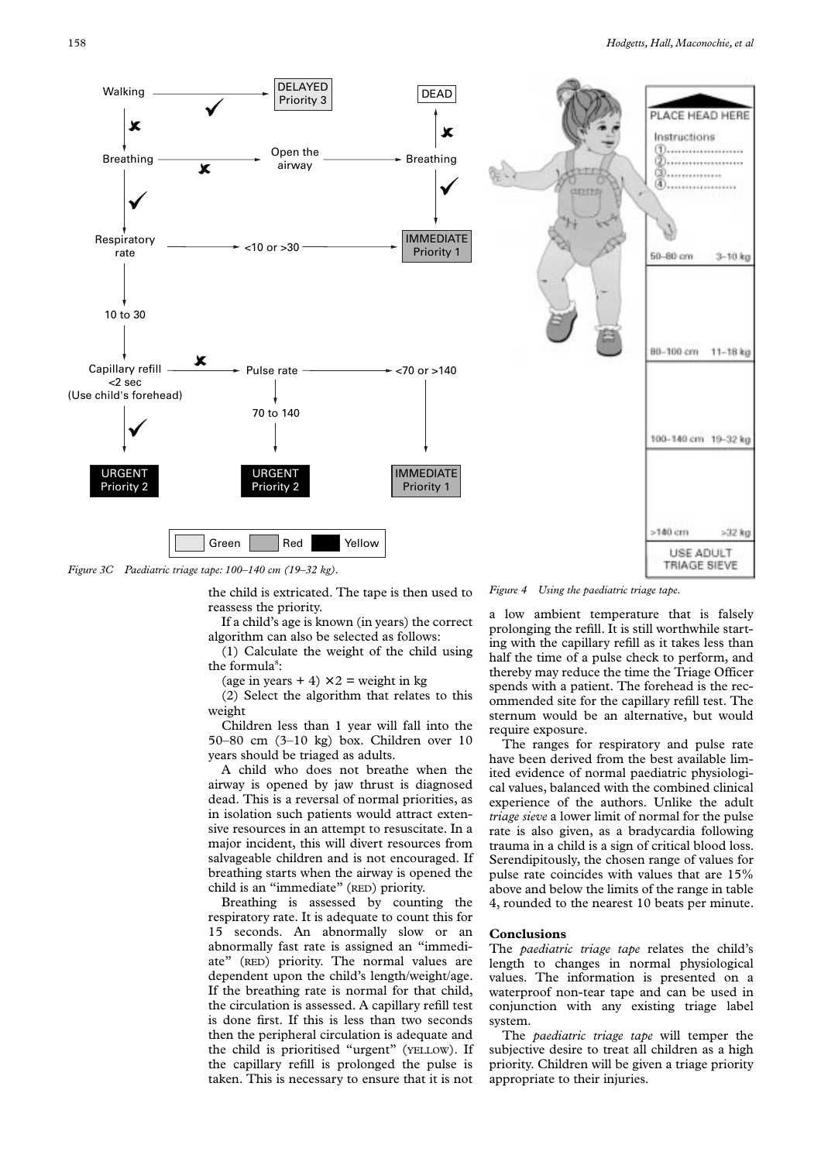

*Figure 3C Paediatric triage tape: 100–140 cm (19–32 kg).*

the child is extricated. The tape is then used to reassess the priority.

If a child's age is known (in years) the correct algorithm can also be selected as follows:

(1) Calculate the weight of the child using the formula<sup>8</sup>:

(age in years  $+ 4 \times 2 =$  weight in kg

(2) Select the algorithm that relates to this weight

Children less than 1 year will fall into the 50–80 cm (3–10 kg) box. Children over 10 years should be triaged as adults.

A child who does not breathe when the airway is opened by jaw thrust is diagnosed dead. This is a reversal of normal priorities, as in isolation such patients would attract extensive resources in an attempt to resuscitate. In a major incident, this will divert resources from salvageable children and is not encouraged. If breathing starts when the airway is opened the child is an "immediate" (RED) priority.

Breathing is assessed by counting the respiratory rate. It is adequate to count this for 15 seconds. An abnormally slow or an abnormally fast rate is assigned an "immediate" (RED) priority. The normal values are dependent upon the child's length/weight/age. If the breathing rate is normal for that child, the circulation is assessed. A capillary refill test is done first. If this is less than two seconds then the peripheral circulation is adequate and the child is prioritised "urgent" (YELLOW). If the capillary refill is prolonged the pulse is taken. This is necessary to ensure that it is not

*Figure 4 Using the paediatric triage tape.*

a low ambient temperature that is falsely prolonging the refill. It is still worthwhile starting with the capillary refill as it takes less than half the time of a pulse check to perform, and thereby may reduce the time the Triage Officer spends with a patient. The forehead is the recommended site for the capillary refill test. The sternum would be an alternative, but would require exposure.

The ranges for respiratory and pulse rate have been derived from the best available limited evidence of normal paediatric physiological values, balanced with the combined clinical experience of the authors. Unlike the adult *triage sieve* a lower limit of normal for the pulse rate is also given, as a bradycardia following trauma in a child is a sign of critical blood loss. Serendipitously, the chosen range of values for pulse rate coincides with values that are 15% above and below the limits of the range in table 4, rounded to the nearest 10 beats per minute.

# **Conclusions**

The *paediatric triage tape* relates the child's length to changes in normal physiological values. The information is presented on a waterproof non-tear tape and can be used in conjunction with any existing triage label system.

The *paediatric triage tape* will temper the subjective desire to treat all children as a high priority. Children will be given a triage priority appropriate to their injuries.